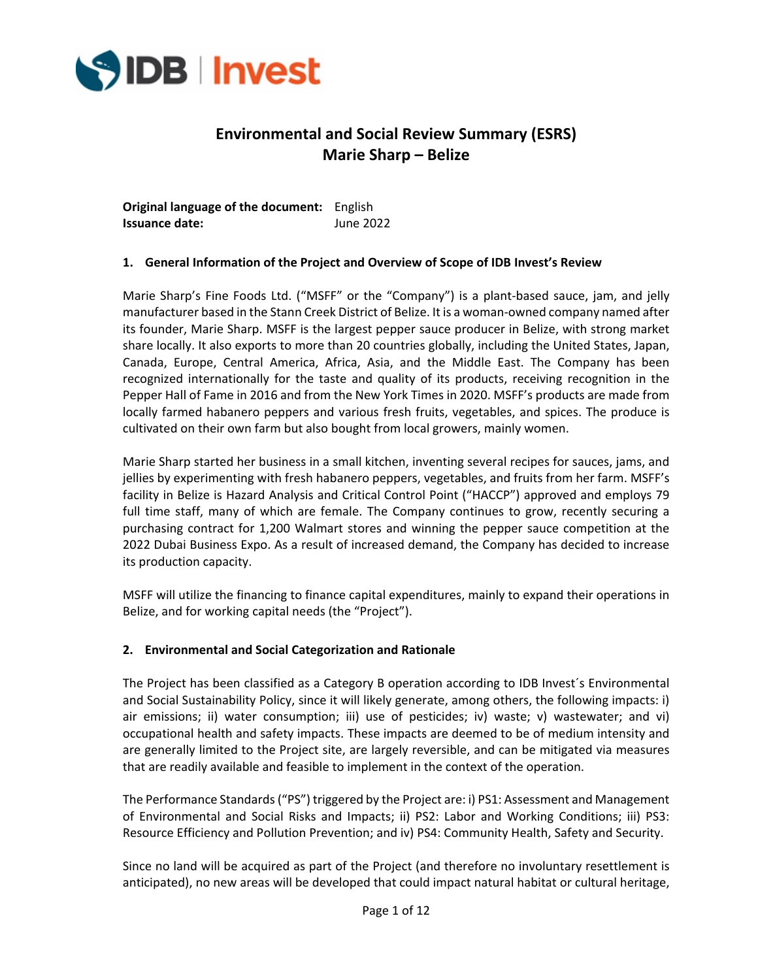

# **Environmental and Social Review Summary (ESRS) Marie Sharp – Belize**

**Original language of the document:** English **Issuance date:** June 2022

# **1. General Information of the Project and Overview of Scope of IDB Invest's Review**

Marie Sharp's Fine Foods Ltd. ("MSFF" or the "Company") is a plant-based sauce, jam, and jelly manufacturer based in the Stann Creek District of Belize. It is a woman-owned company named after its founder, Marie Sharp. MSFF is the largest pepper sauce producer in Belize, with strong market share locally. It also exports to more than 20 countries globally, including the United States, Japan, Canada, Europe, Central America, Africa, Asia, and the Middle East. The Company has been recognized internationally for the taste and quality of its products, receiving recognition in the Pepper Hall of Fame in 2016 and from the New York Times in 2020. MSFF's products are made from locally farmed habanero peppers and various fresh fruits, vegetables, and spices. The produce is cultivated on their own farm but also bought from local growers, mainly women.

Marie Sharp started her business in a small kitchen, inventing several recipes for sauces, jams, and jellies by experimenting with fresh habanero peppers, vegetables, and fruits from her farm. MSFF's facility in Belize is Hazard Analysis and Critical Control Point ("HACCP") approved and employs 79 full time staff, many of which are female. The Company continues to grow, recently securing a purchasing contract for 1,200 Walmart stores and winning the pepper sauce competition at the 2022 Dubai Business Expo. As a result of increased demand, the Company has decided to increase its production capacity.

MSFF will utilize the financing to finance capital expenditures, mainly to expand their operations in Belize, and for working capital needs (the "Project").

# **2. Environmental and Social Categorization and Rationale**

The Project has been classified as a Category B operation according to IDB Invest´s Environmental and Social Sustainability Policy, since it will likely generate, among others, the following impacts: i) air emissions; ii) water consumption; iii) use of pesticides; iv) waste; v) wastewater; and vi) occupational health and safety impacts. These impacts are deemed to be of medium intensity and are generally limited to the Project site, are largely reversible, and can be mitigated via measures that are readily available and feasible to implement in the context of the operation.

The Performance Standards ("PS") triggered by the Project are: i) PS1: Assessment and Management of Environmental and Social Risks and Impacts; ii) PS2: Labor and Working Conditions; iii) PS3: Resource Efficiency and Pollution Prevention; and iv) PS4: Community Health, Safety and Security.

Since no land will be acquired as part of the Project (and therefore no involuntary resettlement is anticipated), no new areas will be developed that could impact natural habitat or cultural heritage,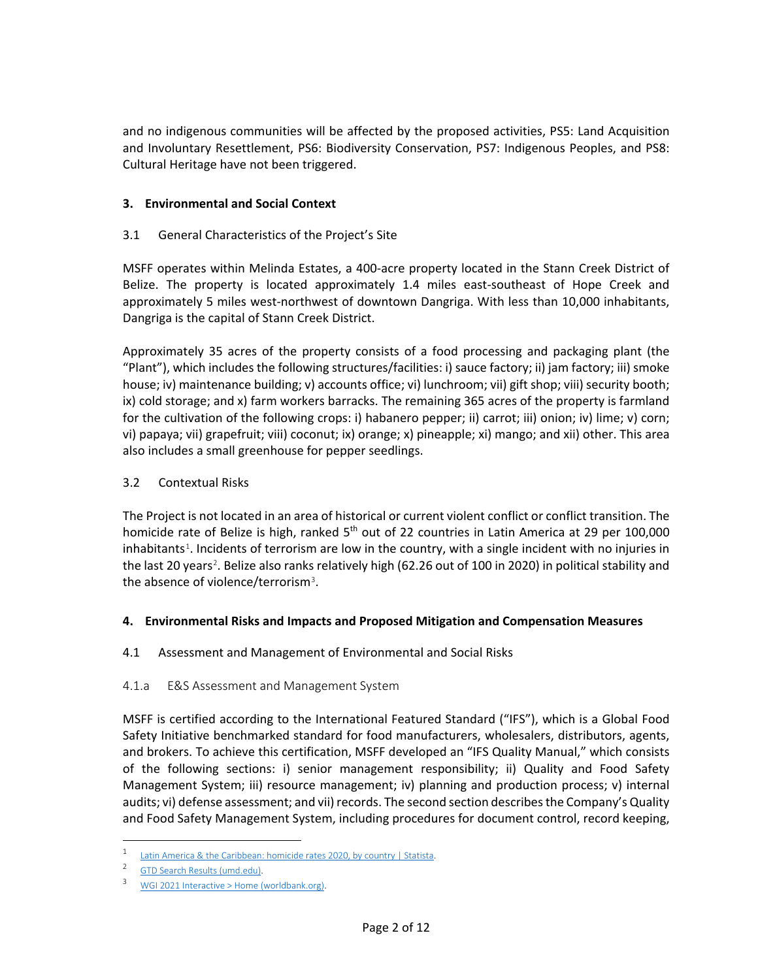and no indigenous communities will be affected by the proposed activities, PS5: Land Acquisition and Involuntary Resettlement, PS6: Biodiversity Conservation, PS7: Indigenous Peoples, and PS8: Cultural Heritage have not been triggered.

# **3. Environmental and Social Context**

# 3.1 General Characteristics of the Project's Site

MSFF operates within Melinda Estates, a 400-acre property located in the Stann Creek District of Belize. The property is located approximately 1.4 miles east-southeast of Hope Creek and approximately 5 miles west-northwest of downtown Dangriga. With less than 10,000 inhabitants, Dangriga is the capital of Stann Creek District.

Approximately 35 acres of the property consists of a food processing and packaging plant (the "Plant"), which includes the following structures/facilities: i) sauce factory; ii) jam factory; iii) smoke house; iv) maintenance building; v) accounts office; vi) lunchroom; vii) gift shop; viii) security booth; ix) cold storage; and x) farm workers barracks. The remaining 365 acres of the property is farmland for the cultivation of the following crops: i) habanero pepper; ii) carrot; iii) onion; iv) lime; v) corn; vi) papaya; vii) grapefruit; viii) coconut; ix) orange; x) pineapple; xi) mango; and xii) other. This area also includes a small greenhouse for pepper seedlings.

# 3.2 Contextual Risks

The Project is not located in an area of historical or current violent conflict or conflict transition. The homicide rate of Belize is high, ranked 5<sup>th</sup> out of 22 countries in Latin America at 29 per 100,000 inhabitants<sup>[1](#page-1-0)</sup>. Incidents of terrorism are low in the country, with a single incident with no injuries in the last [2](#page-1-1)0 years<sup>2</sup>. Belize also ranks relatively high (62.26 out of 100 in 2020) in political stability and the absence of violence/terrorism<sup>[3](#page-1-2)</sup>.

# **4. Environmental Risks and Impacts and Proposed Mitigation and Compensation Measures**

# 4.1 Assessment and Management of Environmental and Social Risks

# 4.1.a E&S Assessment and Management System

MSFF is certified according to the International Featured Standard ("IFS"), which is a Global Food Safety Initiative benchmarked standard for food manufacturers, wholesalers, distributors, agents, and brokers. To achieve this certification, MSFF developed an "IFS Quality Manual," which consists of the following sections: i) senior management responsibility; ii) Quality and Food Safety Management System; iii) resource management; iv) planning and production process; v) internal audits; vi) defense assessment; and vii) records. The second section describes the Company's Quality and Food Safety Management System, including procedures for document control, record keeping,

<span id="page-1-0"></span><sup>1</sup> [Latin America & the Caribbean: homicide rates 2020, by country | Statista.](https://www.statista.com/statistics/947781/homicide-rates-latin-america-caribbean-country/#:%7E:text=In%202021%2C%20the%20highest%20homicide,Honduras%20ranked%20third%2C%20with%2038.6.)

<span id="page-1-2"></span><span id="page-1-1"></span><sup>&</sup>lt;sup>2</sup> [GTD Search Results](https://www.start.umd.edu/gtd/search/Results.aspx?start_yearonly=&end_yearonly=&start_year=&start_month=&start_day=&end_year=&end_month=&end_day=&country=22&asmSelect1=&dtp2=all&success=yes&casualties_type=b&casualties_max=) (umd.edu).

<sup>3</sup> [WGI 2021 Interactive > Home \(worldbank.org\).](http://info.worldbank.org/governance/wgi/)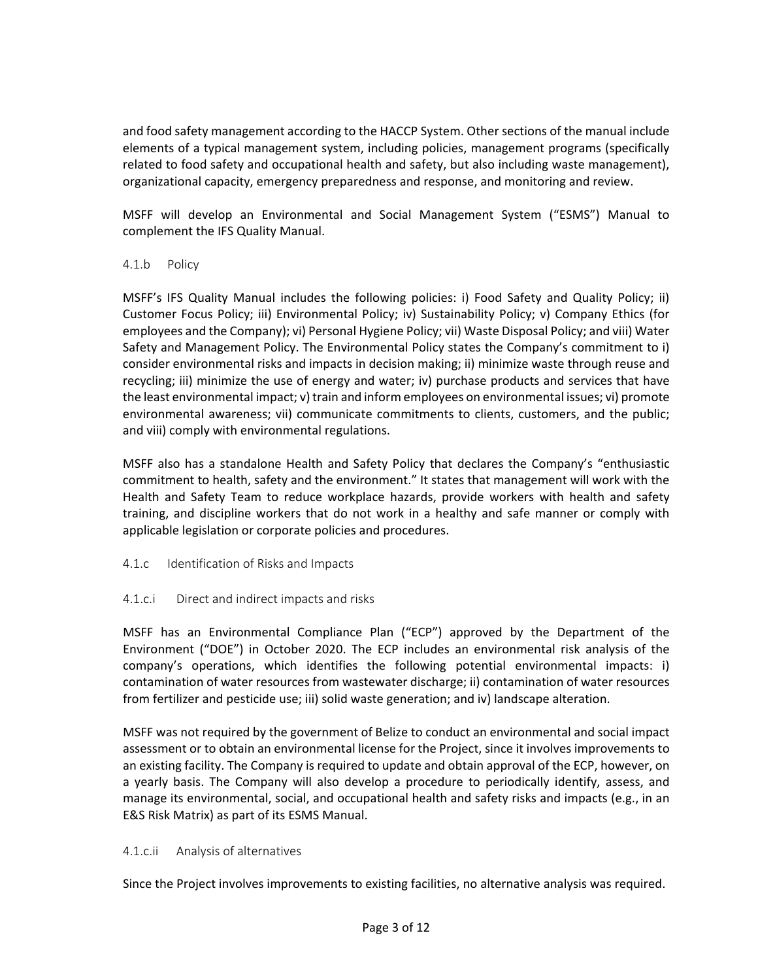and food safety management according to the HACCP System. Other sections of the manual include elements of a typical management system, including policies, management programs (specifically related to food safety and occupational health and safety, but also including waste management), organizational capacity, emergency preparedness and response, and monitoring and review.

MSFF will develop an Environmental and Social Management System ("ESMS") Manual to complement the IFS Quality Manual.

# 4.1.b Policy

MSFF's IFS Quality Manual includes the following policies: i) Food Safety and Quality Policy; ii) Customer Focus Policy; iii) Environmental Policy; iv) Sustainability Policy; v) Company Ethics (for employees and the Company); vi) Personal Hygiene Policy; vii) Waste Disposal Policy; and viii) Water Safety and Management Policy. The Environmental Policy states the Company's commitment to i) consider environmental risks and impacts in decision making; ii) minimize waste through reuse and recycling; iii) minimize the use of energy and water; iv) purchase products and services that have the least environmental impact; v) train and inform employees on environmental issues; vi) promote environmental awareness; vii) communicate commitments to clients, customers, and the public; and viii) comply with environmental regulations.

MSFF also has a standalone Health and Safety Policy that declares the Company's "enthusiastic commitment to health, safety and the environment." It states that management will work with the Health and Safety Team to reduce workplace hazards, provide workers with health and safety training, and discipline workers that do not work in a healthy and safe manner or comply with applicable legislation or corporate policies and procedures.

4.1.c Identification of Risks and Impacts

# 4.1.c.i Direct and indirect impacts and risks

MSFF has an Environmental Compliance Plan ("ECP") approved by the Department of the Environment ("DOE") in October 2020. The ECP includes an environmental risk analysis of the company's operations, which identifies the following potential environmental impacts: i) contamination of water resources from wastewater discharge; ii) contamination of water resources from fertilizer and pesticide use; iii) solid waste generation; and iv) landscape alteration.

MSFF was not required by the government of Belize to conduct an environmental and social impact assessment or to obtain an environmental license for the Project, since it involves improvements to an existing facility. The Company is required to update and obtain approval of the ECP, however, on a yearly basis. The Company will also develop a procedure to periodically identify, assess, and manage its environmental, social, and occupational health and safety risks and impacts (e.g., in an E&S Risk Matrix) as part of its ESMS Manual.

# 4.1.c.ii Analysis of alternatives

Since the Project involves improvements to existing facilities, no alternative analysis was required.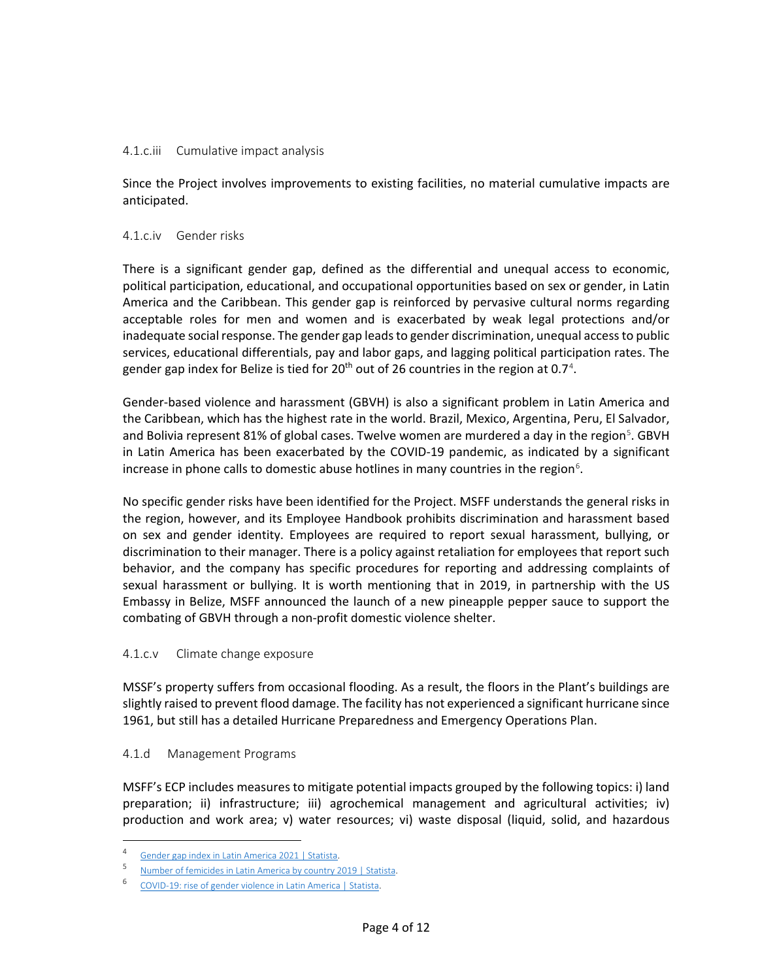### 4.1.c.iii Cumulative impact analysis

Since the Project involves improvements to existing facilities, no material cumulative impacts are anticipated.

#### 4.1.c.iv Gender risks

There is a significant gender gap, defined as the differential and unequal access to economic, political participation, educational, and occupational opportunities based on sex or gender, in Latin America and the Caribbean. This gender gap is reinforced by pervasive cultural norms regarding acceptable roles for men and women and is exacerbated by weak legal protections and/or inadequate social response. The gender gap leads to gender discrimination, unequal access to public services, educational differentials, pay and labor gaps, and lagging political participation rates. The gender gap index for Belize is tied for 20<sup>th</sup> out of 26 countries in the region at 0.7<sup>[4](#page-3-0)</sup>.

Gender-based violence and harassment (GBVH) is also a significant problem in Latin America and the Caribbean, which has the highest rate in the world. Brazil, Mexico, Argentina, Peru, El Salvador, and Bolivia represent 81% of global cases. Twelve women are murdered a day in the region<sup>[5](#page-3-1)</sup>. GBVH in Latin America has been exacerbated by the COVID-19 pandemic, as indicated by a significant increase in phone calls to domestic abuse hotlines in many countries in the region<sup>[6](#page-3-2)</sup>.

No specific gender risks have been identified for the Project. MSFF understands the general risks in the region, however, and its Employee Handbook prohibits discrimination and harassment based on sex and gender identity. Employees are required to report sexual harassment, bullying, or discrimination to their manager. There is a policy against retaliation for employees that report such behavior, and the company has specific procedures for reporting and addressing complaints of sexual harassment or bullying. It is worth mentioning that in 2019, in partnership with the US Embassy in Belize, MSFF announced the launch of a new pineapple pepper sauce to support the combating of GBVH through a non-profit domestic violence shelter.

# 4.1.c.v Climate change exposure

MSSF's property suffers from occasional flooding. As a result, the floors in the Plant's buildings are slightly raised to prevent flood damage. The facility has not experienced a significant hurricane since 1961, but still has a detailed Hurricane Preparedness and Emergency Operations Plan.

#### 4.1.d Management Programs

MSFF's ECP includes measures to mitigate potential impacts grouped by the following topics: i) land preparation; ii) infrastructure; iii) agrochemical management and agricultural activities; iv) production and work area; v) water resources; vi) waste disposal (liquid, solid, and hazardous

<sup>4</sup> [Gender gap index in Latin America 2021 | Statista.](https://www.statista.com/statistics/803494/latin-america-gender-gap-index-country/)

<span id="page-3-2"></span><span id="page-3-1"></span><span id="page-3-0"></span><sup>5</sup> [Number of femicides in Latin America by country 2019 | Statista.](https://www.statista.com/statistics/827170/number-femicide-victims-latin-america-by-country/)

<sup>6</sup> [COVID-19: rise of gender violence in Latin America | Statista.](https://www.statista.com/statistics/1113975/gender-violence-growth-coronavirus-latin-america/)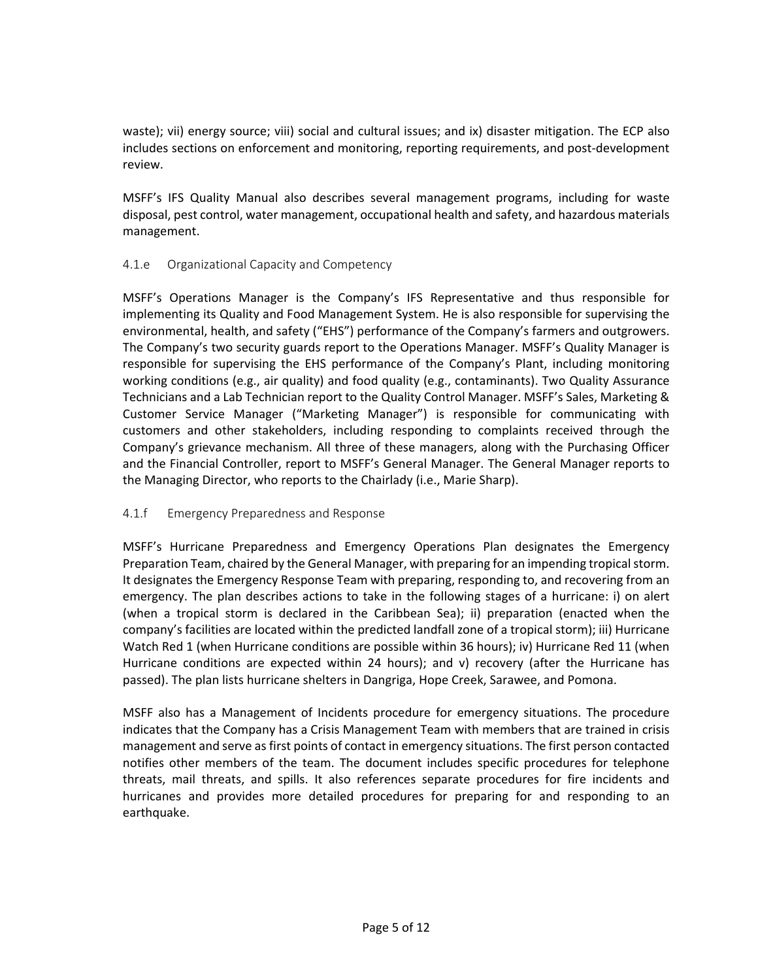waste); vii) energy source; viii) social and cultural issues; and ix) disaster mitigation. The ECP also includes sections on enforcement and monitoring, reporting requirements, and post-development review.

MSFF's IFS Quality Manual also describes several management programs, including for waste disposal, pest control, water management, occupational health and safety, and hazardous materials management.

# 4.1.e Organizational Capacity and Competency

MSFF's Operations Manager is the Company's IFS Representative and thus responsible for implementing its Quality and Food Management System. He is also responsible for supervising the environmental, health, and safety ("EHS") performance of the Company's farmers and outgrowers. The Company's two security guards report to the Operations Manager. MSFF's Quality Manager is responsible for supervising the EHS performance of the Company's Plant, including monitoring working conditions (e.g., air quality) and food quality (e.g., contaminants). Two Quality Assurance Technicians and a Lab Technician report to the Quality Control Manager. MSFF's Sales, Marketing & Customer Service Manager ("Marketing Manager") is responsible for communicating with customers and other stakeholders, including responding to complaints received through the Company's grievance mechanism. All three of these managers, along with the Purchasing Officer and the Financial Controller, report to MSFF's General Manager. The General Manager reports to the Managing Director, who reports to the Chairlady (i.e., Marie Sharp).

# 4.1.f Emergency Preparedness and Response

MSFF's Hurricane Preparedness and Emergency Operations Plan designates the Emergency Preparation Team, chaired by the General Manager, with preparing for an impending tropical storm. It designates the Emergency Response Team with preparing, responding to, and recovering from an emergency. The plan describes actions to take in the following stages of a hurricane: i) on alert (when a tropical storm is declared in the Caribbean Sea); ii) preparation (enacted when the company's facilities are located within the predicted landfall zone of a tropical storm); iii) Hurricane Watch Red 1 (when Hurricane conditions are possible within 36 hours); iv) Hurricane Red 11 (when Hurricane conditions are expected within 24 hours); and v) recovery (after the Hurricane has passed). The plan lists hurricane shelters in Dangriga, Hope Creek, Sarawee, and Pomona.

MSFF also has a Management of Incidents procedure for emergency situations. The procedure indicates that the Company has a Crisis Management Team with members that are trained in crisis management and serve as first points of contact in emergency situations. The first person contacted notifies other members of the team. The document includes specific procedures for telephone threats, mail threats, and spills. It also references separate procedures for fire incidents and hurricanes and provides more detailed procedures for preparing for and responding to an earthquake.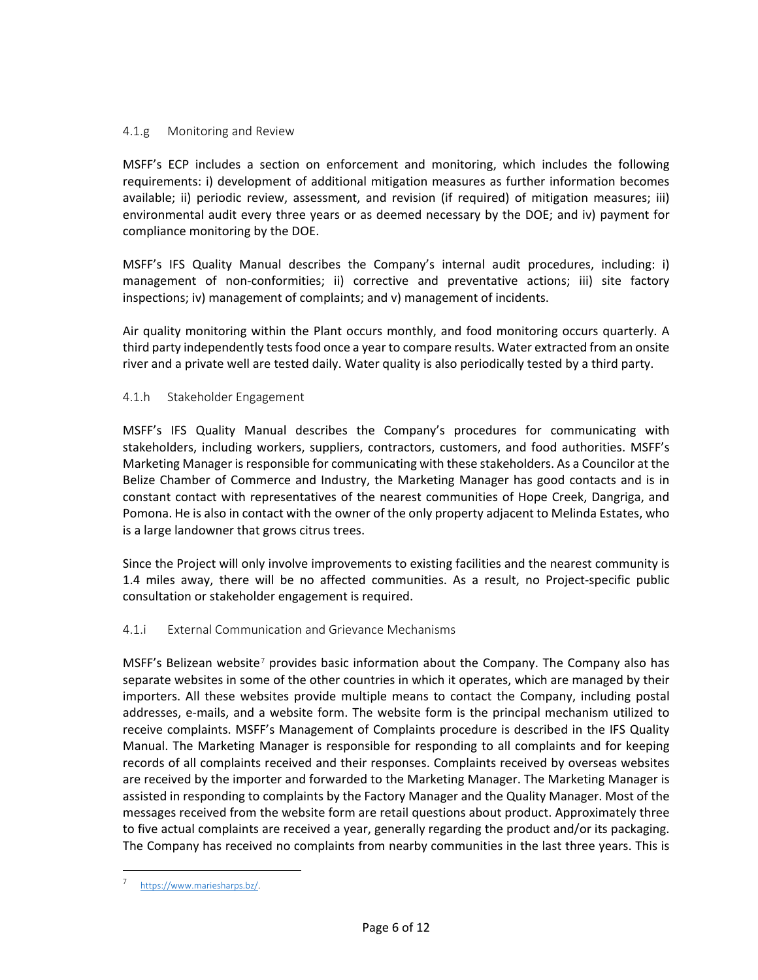# 4.1.g Monitoring and Review

MSFF's ECP includes a section on enforcement and monitoring, which includes the following requirements: i) development of additional mitigation measures as further information becomes available; ii) periodic review, assessment, and revision (if required) of mitigation measures; iii) environmental audit every three years or as deemed necessary by the DOE; and iv) payment for compliance monitoring by the DOE.

MSFF's IFS Quality Manual describes the Company's internal audit procedures, including: i) management of non-conformities; ii) corrective and preventative actions; iii) site factory inspections; iv) management of complaints; and v) management of incidents.

Air quality monitoring within the Plant occurs monthly, and food monitoring occurs quarterly. A third party independently tests food once a year to compare results. Water extracted from an onsite river and a private well are tested daily. Water quality is also periodically tested by a third party.

# 4.1.h Stakeholder Engagement

MSFF's IFS Quality Manual describes the Company's procedures for communicating with stakeholders, including workers, suppliers, contractors, customers, and food authorities. MSFF's Marketing Manager is responsible for communicating with these stakeholders. As a Councilor at the Belize Chamber of Commerce and Industry, the Marketing Manager has good contacts and is in constant contact with representatives of the nearest communities of Hope Creek, Dangriga, and Pomona. He is also in contact with the owner of the only property adjacent to Melinda Estates, who is a large landowner that grows citrus trees.

Since the Project will only involve improvements to existing facilities and the nearest community is 1.4 miles away, there will be no affected communities. As a result, no Project-specific public consultation or stakeholder engagement is required.

# 4.1.i External Communication and Grievance Mechanisms

MSFF's Belizean website<sup>[7](#page-5-0)</sup> provides basic information about the Company. The Company also has separate websites in some of the other countries in which it operates, which are managed by their importers. All these websites provide multiple means to contact the Company, including postal addresses, e-mails, and a website form. The website form is the principal mechanism utilized to receive complaints. MSFF's Management of Complaints procedure is described in the IFS Quality Manual. The Marketing Manager is responsible for responding to all complaints and for keeping records of all complaints received and their responses. Complaints received by overseas websites are received by the importer and forwarded to the Marketing Manager. The Marketing Manager is assisted in responding to complaints by the Factory Manager and the Quality Manager. Most of the messages received from the website form are retail questions about product. Approximately three to five actual complaints are received a year, generally regarding the product and/or its packaging. The Company has received no complaints from nearby communities in the last three years. This is

<span id="page-5-0"></span>https://www.mariesharps.bz/.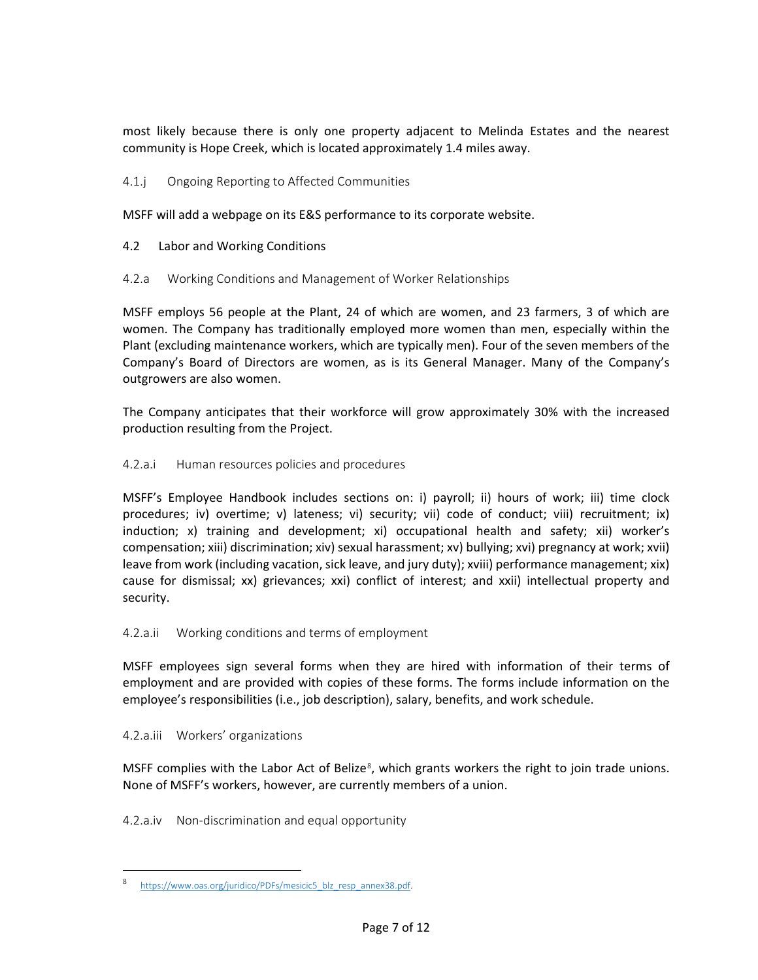most likely because there is only one property adjacent to Melinda Estates and the nearest community is Hope Creek, which is located approximately 1.4 miles away.

# 4.1.j Ongoing Reporting to Affected Communities

MSFF will add a webpage on its E&S performance to its corporate website.

# 4.2 Labor and Working Conditions

# 4.2.a Working Conditions and Management of Worker Relationships

MSFF employs 56 people at the Plant, 24 of which are women, and 23 farmers, 3 of which are women. The Company has traditionally employed more women than men, especially within the Plant (excluding maintenance workers, which are typically men). Four of the seven members of the Company's Board of Directors are women, as is its General Manager. Many of the Company's outgrowers are also women.

The Company anticipates that their workforce will grow approximately 30% with the increased production resulting from the Project.

# 4.2.a.i Human resources policies and procedures

MSFF's Employee Handbook includes sections on: i) payroll; ii) hours of work; iii) time clock procedures; iv) overtime; v) lateness; vi) security; vii) code of conduct; viii) recruitment; ix) induction; x) training and development; xi) occupational health and safety; xii) worker's compensation; xiii) discrimination; xiv) sexual harassment; xv) bullying; xvi) pregnancy at work; xvii) leave from work (including vacation, sick leave, and jury duty); xviii) performance management; xix) cause for dismissal; xx) grievances; xxi) conflict of interest; and xxii) intellectual property and security.

# 4.2.a.ii Working conditions and terms of employment

MSFF employees sign several forms when they are hired with information of their terms of employment and are provided with copies of these forms. The forms include information on the employee's responsibilities (i.e., job description), salary, benefits, and work schedule.

# 4.2.a.iii Workers' organizations

MSFF complies with the Labor Act of Belize<sup>[8](#page-6-0)</sup>, which grants workers the right to join trade unions. None of MSFF's workers, however, are currently members of a union.

4.2.a.iv Non-discrimination and equal opportunity

<span id="page-6-0"></span>https://www.oas.org/juridico/PDFs/mesicic5\_blz\_resp\_annex38.pdf.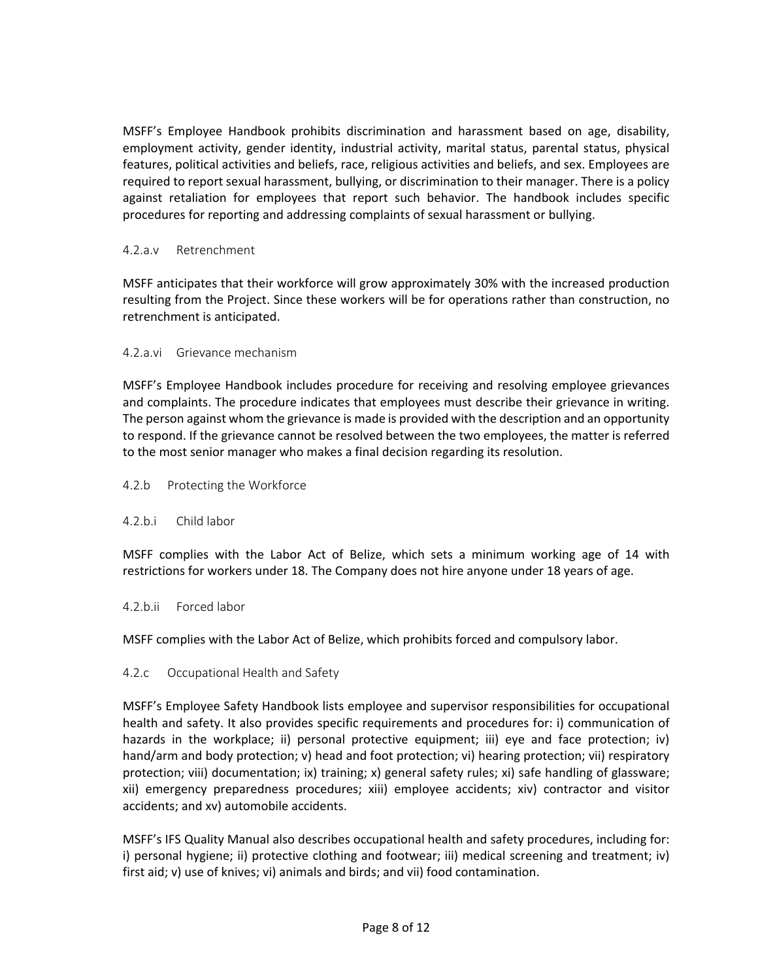MSFF's Employee Handbook prohibits discrimination and harassment based on age, disability, employment activity, gender identity, industrial activity, marital status, parental status, physical features, political activities and beliefs, race, religious activities and beliefs, and sex. Employees are required to report sexual harassment, bullying, or discrimination to their manager. There is a policy against retaliation for employees that report such behavior. The handbook includes specific procedures for reporting and addressing complaints of sexual harassment or bullying.

# 4.2.a.v Retrenchment

MSFF anticipates that their workforce will grow approximately 30% with the increased production resulting from the Project. Since these workers will be for operations rather than construction, no retrenchment is anticipated.

#### 4.2.a.vi Grievance mechanism

MSFF's Employee Handbook includes procedure for receiving and resolving employee grievances and complaints. The procedure indicates that employees must describe their grievance in writing. The person against whom the grievance is made is provided with the description and an opportunity to respond. If the grievance cannot be resolved between the two employees, the matter is referred to the most senior manager who makes a final decision regarding its resolution.

#### 4.2.b Protecting the Workforce

# 4.2.b.i Child labor

MSFF complies with the Labor Act of Belize, which sets a minimum working age of 14 with restrictions for workers under 18. The Company does not hire anyone under 18 years of age.

#### 4.2.b.ii Forced labor

MSFF complies with the Labor Act of Belize, which prohibits forced and compulsory labor.

# 4.2.c Occupational Health and Safety

MSFF's Employee Safety Handbook lists employee and supervisor responsibilities for occupational health and safety. It also provides specific requirements and procedures for: i) communication of hazards in the workplace; ii) personal protective equipment; iii) eye and face protection; iv) hand/arm and body protection; v) head and foot protection; vi) hearing protection; vii) respiratory protection; viii) documentation; ix) training; x) general safety rules; xi) safe handling of glassware; xii) emergency preparedness procedures; xiii) employee accidents; xiv) contractor and visitor accidents; and xv) automobile accidents.

MSFF's IFS Quality Manual also describes occupational health and safety procedures, including for: i) personal hygiene; ii) protective clothing and footwear; iii) medical screening and treatment; iv) first aid; v) use of knives; vi) animals and birds; and vii) food contamination.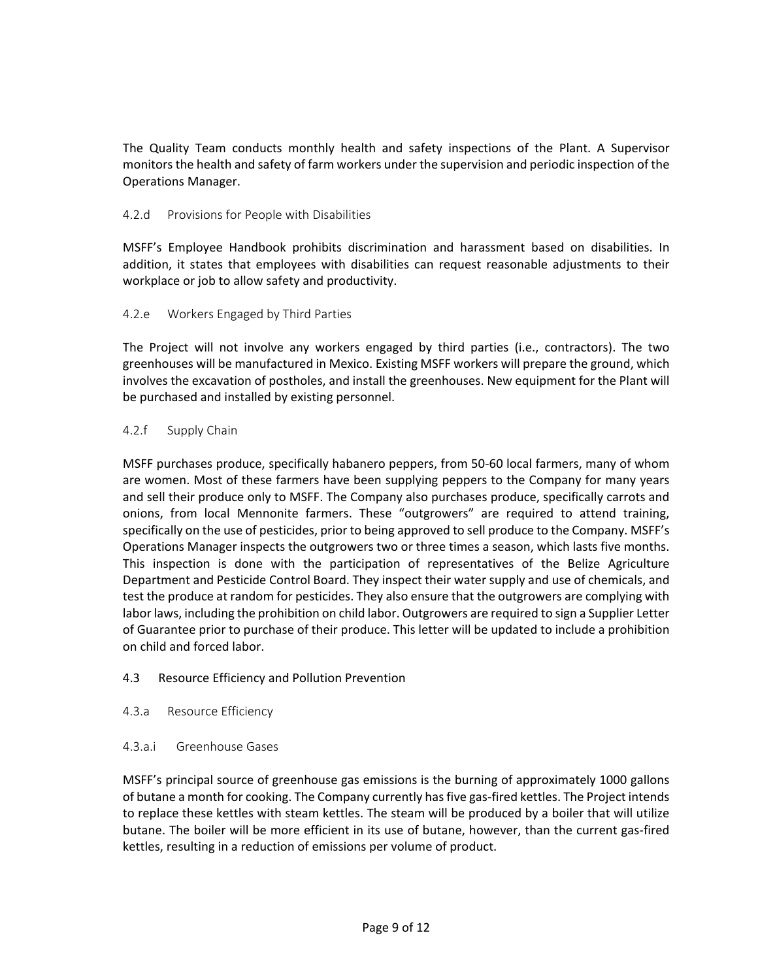The Quality Team conducts monthly health and safety inspections of the Plant. A Supervisor monitors the health and safety of farm workers under the supervision and periodic inspection of the Operations Manager.

# 4.2.d Provisions for People with Disabilities

MSFF's Employee Handbook prohibits discrimination and harassment based on disabilities. In addition, it states that employees with disabilities can request reasonable adjustments to their workplace or job to allow safety and productivity.

# 4.2.e Workers Engaged by Third Parties

The Project will not involve any workers engaged by third parties (i.e., contractors). The two greenhouses will be manufactured in Mexico. Existing MSFF workers will prepare the ground, which involves the excavation of postholes, and install the greenhouses. New equipment for the Plant will be purchased and installed by existing personnel.

# 4.2.f Supply Chain

MSFF purchases produce, specifically habanero peppers, from 50-60 local farmers, many of whom are women. Most of these farmers have been supplying peppers to the Company for many years and sell their produce only to MSFF. The Company also purchases produce, specifically carrots and onions, from local Mennonite farmers. These "outgrowers" are required to attend training, specifically on the use of pesticides, prior to being approved to sell produce to the Company. MSFF's Operations Manager inspects the outgrowers two or three times a season, which lasts five months. This inspection is done with the participation of representatives of the Belize Agriculture Department and Pesticide Control Board. They inspect their water supply and use of chemicals, and test the produce at random for pesticides. They also ensure that the outgrowers are complying with labor laws, including the prohibition on child labor. Outgrowers are required to sign a Supplier Letter of Guarantee prior to purchase of their produce. This letter will be updated to include a prohibition on child and forced labor.

# 4.3 Resource Efficiency and Pollution Prevention

# 4.3.a Resource Efficiency

# 4.3.a.i Greenhouse Gases

MSFF's principal source of greenhouse gas emissions is the burning of approximately 1000 gallons of butane a month for cooking. The Company currently has five gas-fired kettles. The Project intends to replace these kettles with steam kettles. The steam will be produced by a boiler that will utilize butane. The boiler will be more efficient in its use of butane, however, than the current gas-fired kettles, resulting in a reduction of emissions per volume of product.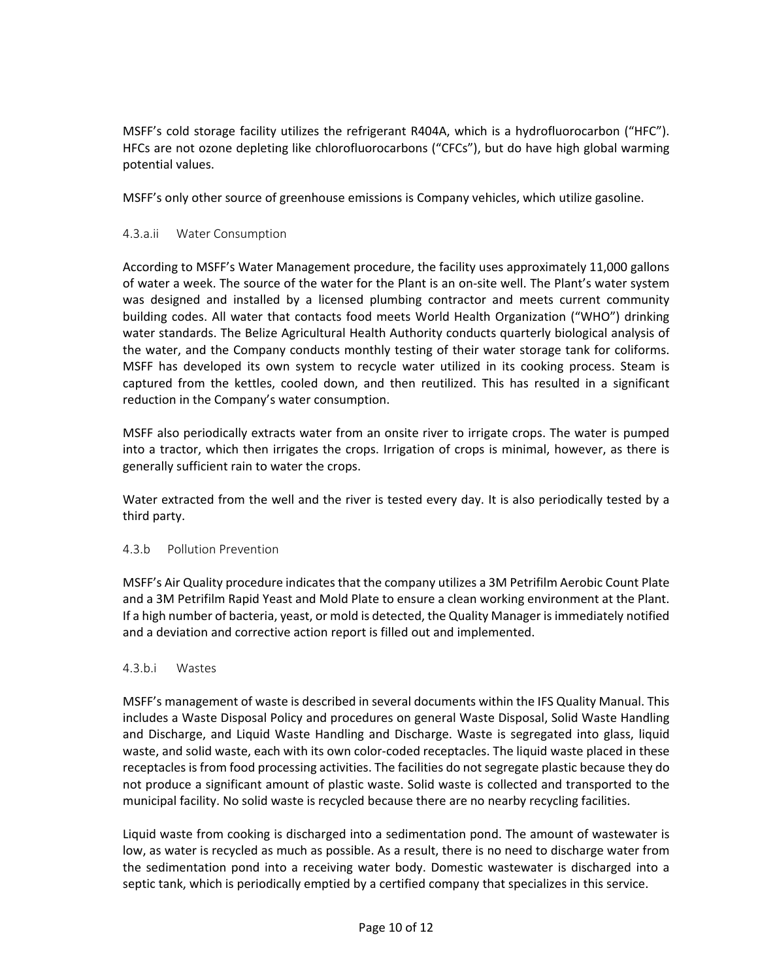MSFF's cold storage facility utilizes the refrigerant R404A, which is a hydrofluorocarbon ("HFC"). HFCs are not ozone depleting like chlorofluorocarbons ("CFCs"), but do have high global warming potential values.

MSFF's only other source of greenhouse emissions is Company vehicles, which utilize gasoline.

# 4.3.a.ii Water Consumption

According to MSFF's Water Management procedure, the facility uses approximately 11,000 gallons of water a week. The source of the water for the Plant is an on-site well. The Plant's water system was designed and installed by a licensed plumbing contractor and meets current community building codes. All water that contacts food meets World Health Organization ("WHO") drinking water standards. The Belize Agricultural Health Authority conducts quarterly biological analysis of the water, and the Company conducts monthly testing of their water storage tank for coliforms. MSFF has developed its own system to recycle water utilized in its cooking process. Steam is captured from the kettles, cooled down, and then reutilized. This has resulted in a significant reduction in the Company's water consumption.

MSFF also periodically extracts water from an onsite river to irrigate crops. The water is pumped into a tractor, which then irrigates the crops. Irrigation of crops is minimal, however, as there is generally sufficient rain to water the crops.

Water extracted from the well and the river is tested every day. It is also periodically tested by a third party.

#### 4.3.b Pollution Prevention

MSFF's Air Quality procedure indicates that the company utilizes a 3M Petrifilm Aerobic Count Plate and a 3M Petrifilm Rapid Yeast and Mold Plate to ensure a clean working environment at the Plant. If a high number of bacteria, yeast, or mold is detected, the Quality Manager is immediately notified and a deviation and corrective action report is filled out and implemented.

#### 4.3.b.i Wastes

MSFF's management of waste is described in several documents within the IFS Quality Manual. This includes a Waste Disposal Policy and procedures on general Waste Disposal, Solid Waste Handling and Discharge, and Liquid Waste Handling and Discharge. Waste is segregated into glass, liquid waste, and solid waste, each with its own color-coded receptacles. The liquid waste placed in these receptacles is from food processing activities. The facilities do not segregate plastic because they do not produce a significant amount of plastic waste. Solid waste is collected and transported to the municipal facility. No solid waste is recycled because there are no nearby recycling facilities.

Liquid waste from cooking is discharged into a sedimentation pond. The amount of wastewater is low, as water is recycled as much as possible. As a result, there is no need to discharge water from the sedimentation pond into a receiving water body. Domestic wastewater is discharged into a septic tank, which is periodically emptied by a certified company that specializes in this service.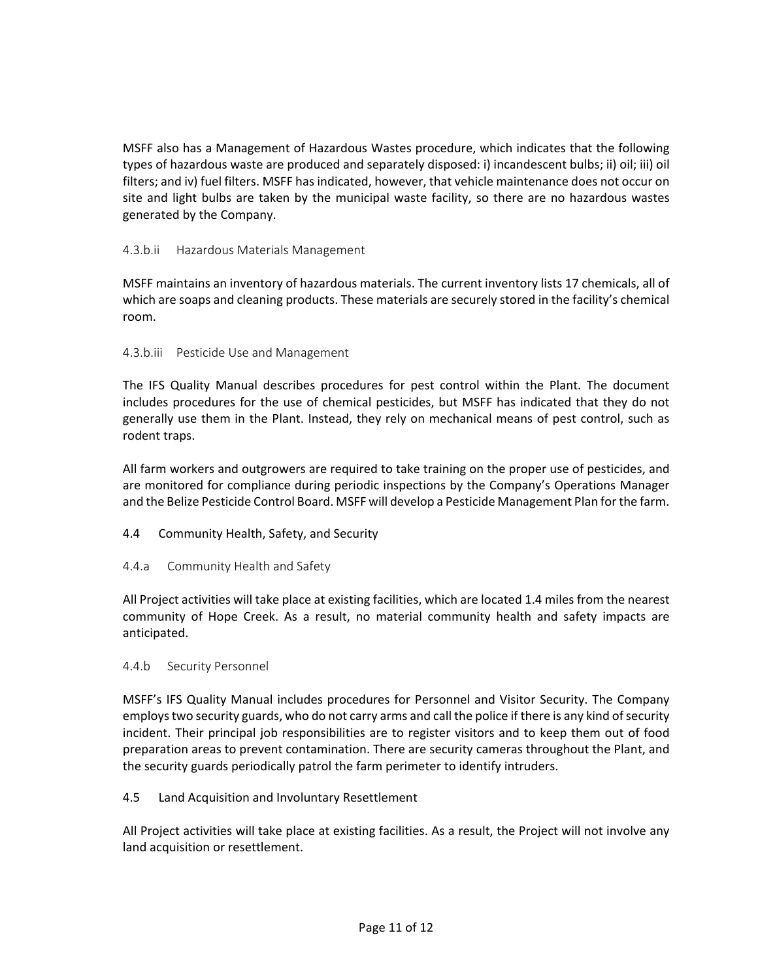MSFF also has a Management of Hazardous Wastes procedure, which indicates that the following types of hazardous waste are produced and separately disposed: i) incandescent bulbs; ii) oil; iii) oil filters; and iv) fuel filters. MSFF has indicated, however, that vehicle maintenance does not occur on site and light bulbs are taken by the municipal waste facility, so there are no hazardous wastes generated by the Company.

# 4.3.b.ii Hazardous Materials Management

MSFF maintains an inventory of hazardous materials. The current inventory lists 17 chemicals, all of which are soaps and cleaning products. These materials are securely stored in the facility's chemical room.

# 4.3.b.iii Pesticide Use and Management

The IFS Quality Manual describes procedures for pest control within the Plant. The document includes procedures for the use of chemical pesticides, but MSFF has indicated that they do not generally use them in the Plant. Instead, they rely on mechanical means of pest control, such as rodent traps.

All farm workers and outgrowers are required to take training on the proper use of pesticides, and are monitored for compliance during periodic inspections by the Company's Operations Manager and the Belize Pesticide Control Board. MSFF will develop a Pesticide Management Plan for the farm.

# 4.4 Community Health, Safety, and Security

# 4.4.a Community Health and Safety

All Project activities will take place at existing facilities, which are located 1.4 miles from the nearest community of Hope Creek. As a result, no material community health and safety impacts are anticipated.

# 4.4.b Security Personnel

MSFF's IFS Quality Manual includes procedures for Personnel and Visitor Security. The Company employs two security guards, who do not carry arms and call the police if there is any kind of security incident. Their principal job responsibilities are to register visitors and to keep them out of food preparation areas to prevent contamination. There are security cameras throughout the Plant, and the security guards periodically patrol the farm perimeter to identify intruders.

# 4.5 Land Acquisition and Involuntary Resettlement

All Project activities will take place at existing facilities. As a result, the Project will not involve any land acquisition or resettlement.